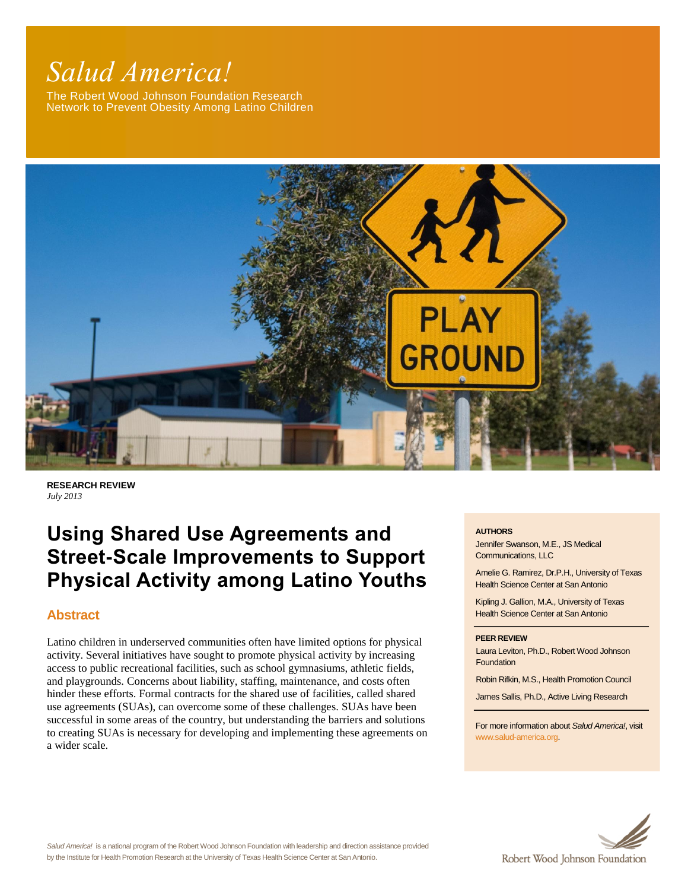# *Salud America!*

The Robert Wood Johnson Foundation Research Network to Prevent Obesity Among Latino Children



**RESEARCH REVIEW** *July 2013*

## **Using Shared Use Agreements and Street-Scale Improvements to Support Physical Activity among Latino Youths**

#### **Abstract**

Latino children in underserved communities often have limited options for physical activity. Several initiatives have sought to promote physical activity by increasing access to public recreational facilities, such as school gymnasiums, athletic fields, and playgrounds. Concerns about liability, staffing, maintenance, and costs often hinder these efforts. Formal contracts for the shared use of facilities, called shared use agreements (SUAs), can overcome some of these challenges. SUAs have been successful in some areas of the country, but understanding the barriers and solutions to creating SUAs is necessary for developing and implementing these agreements on a wider scale.

#### **AUTHORS**

Jennifer Swanson, M.E., JS Medical Communications, LLC

Amelie G. Ramirez, Dr.P.H., University of Texas Health Science Center at San Antonio

Kipling J. Gallion, M.A., University of Texas Health Science Center at San Antonio

#### **PEER REVIEW**

Laura Leviton, Ph.D., Robert Wood Johnson **Foundation** 

Robin Rifkin, M.S., Health Promotion Council

James Sallis, Ph.D., Active Living Research

For more information about *Salud America!*, visit [www.salud-america.org.](http://www.salud-america.org/) 

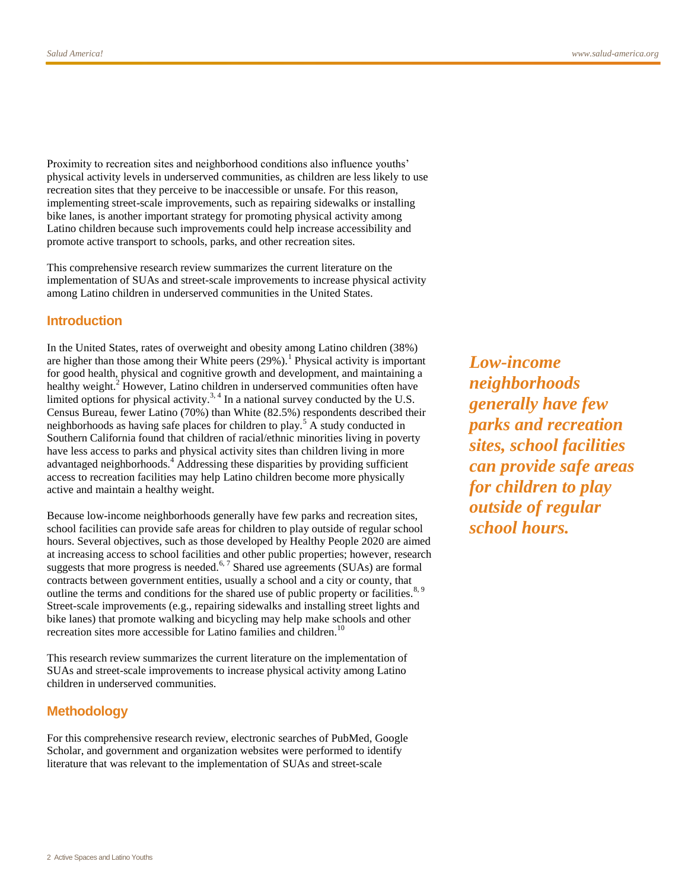Proximity to recreation sites and neighborhood conditions also influence youths' physical activity levels in underserved communities, as children are less likely to use recreation sites that they perceive to be inaccessible or unsafe. For this reason, implementing street-scale improvements, such as repairing sidewalks or installing bike lanes, is another important strategy for promoting physical activity among Latino children because such improvements could help increase accessibility and promote active transport to schools, parks, and other recreation sites.

This comprehensive research review summarizes the current literature on the implementation of SUAs and street-scale improvements to increase physical activity among Latino children in underserved communities in the United States.

#### **Introduction**

In the United States, rates of overweight and obesity among Latino children (38%) are higher than those among their White peers  $(29\%)$ [.](#page-19-0)<sup>1</sup> Physical activity is important for good health, physical and cognitive growth and development, and maintaining a healthy weight[.](#page-19-1)<sup>2</sup> However, Latino children in underserved communities often have limited options for physical activity.<sup>[3,](#page-19-2) [4](#page-19-3)</sup> In a national survey conducted by the U.S. Census Bureau, fewer Latino (70%) than White (82.5%) respondents described their neighborhoods as having safe places for children to pla[y.](#page-19-4)<sup>5</sup> A study conducted in Southern California found that children of racial/ethnic minorities living in poverty have less access to parks and physical activity sites than children living in more advantaged neighborhood[s.](#page-19-3)<sup>4</sup> Addressing these disparities by providing sufficient access to recreation facilities may help Latino children become more physically active and maintain a healthy weight.

Because low-income neighborhoods generally have few parks and recreation sites, school facilities can provide safe areas for children to play outside of regular school hours. Several objectives, such as those developed by Healthy People 2020 are aimed at increasing access to school facilities and other public properties; however, research suggests that more progress is needed.<sup>[6,](#page-19-5) [7](#page-19-6)</sup> Shared use agreements (SUAs) are formal contracts between government entities, usually a school and a city or county, that outline the terms and conditions for the shared use of public property or facilities.<sup>[8,](#page-19-7) [9](#page-20-0)</sup> Street-scale improvements (e.g., repairing sidewalks and installing street lights and bike lanes) that promote walking and bicycling may help make schools and other recreation sites more accessible for Latino families and children.<sup>[10](#page-20-1)</sup>

This research review summarizes the current literature on the implementation of SUAs and street-scale improvements to increase physical activity among Latino children in underserved communities.

#### **Methodology**

For this comprehensive research review, electronic searches of PubMed, Google Scholar, and government and organization websites were performed to identify literature that was relevant to the implementation of SUAs and street-scale

*Low-income neighborhoods generally have few parks and recreation sites, school facilities can provide safe areas for children to play outside of regular school hours.*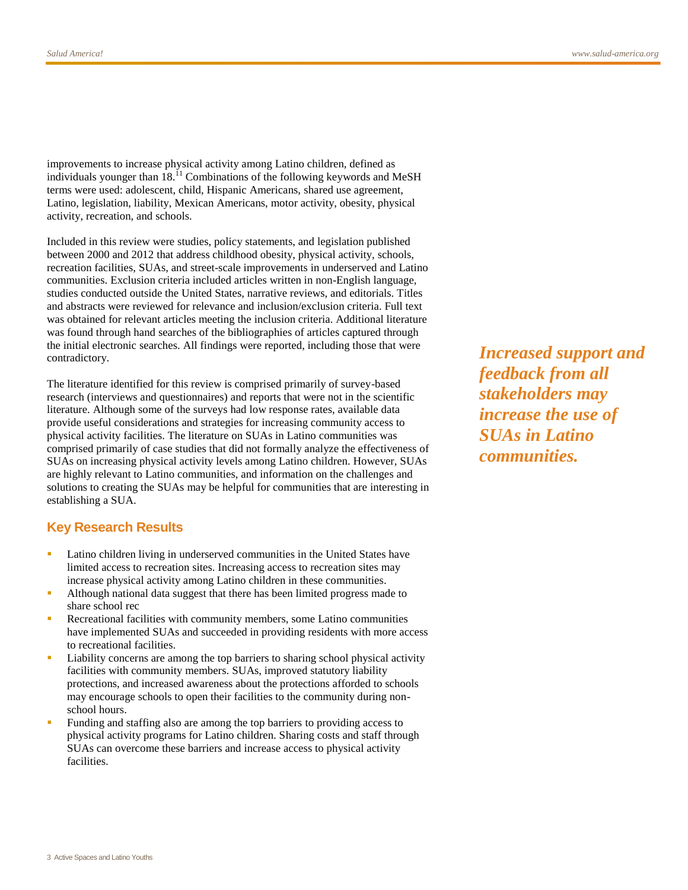improvements to increase physical activity among Latino children, defined as individuals younger than 18.<sup>[11](#page-20-2)</sup> Combinations of the following keywords and MeSH terms were used: adolescent, child, Hispanic Americans, shared use agreement, Latino, legislation, liability, Mexican Americans, motor activity, obesity, physical activity, recreation, and schools.

Included in this review were studies, policy statements, and legislation published between 2000 and 2012 that address childhood obesity, physical activity, schools, recreation facilities, SUAs, and street-scale improvements in underserved and Latino communities. Exclusion criteria included articles written in non-English language, studies conducted outside the United States, narrative reviews, and editorials. Titles and abstracts were reviewed for relevance and inclusion/exclusion criteria. Full text was obtained for relevant articles meeting the inclusion criteria. Additional literature was found through hand searches of the bibliographies of articles captured through the initial electronic searches. All findings were reported, including those that were contradictory.

The literature identified for this review is comprised primarily of survey-based research (interviews and questionnaires) and reports that were not in the scientific literature. Although some of the surveys had low response rates, available data provide useful considerations and strategies for increasing community access to physical activity facilities. The literature on SUAs in Latino communities was comprised primarily of case studies that did not formally analyze the effectiveness of SUAs on increasing physical activity levels among Latino children. However, SUAs are highly relevant to Latino communities, and information on the challenges and solutions to creating the SUAs may be helpful for communities that are interesting in establishing a SUA.

#### **Key Research Results**

- **Latino children living in underserved communities in the United States have** limited access to recreation sites. Increasing access to recreation sites may increase physical activity among Latino children in these communities.
- Although national data suggest that there has been limited progress made to share school rec
- Recreational facilities with community members, some Latino communities have implemented SUAs and succeeded in providing residents with more access to recreational facilities.
- Liability concerns are among the top barriers to sharing school physical activity facilities with community members. SUAs, improved statutory liability protections, and increased awareness about the protections afforded to schools may encourage schools to open their facilities to the community during nonschool hours.
- Funding and staffing also are among the top barriers to providing access to physical activity programs for Latino children. Sharing costs and staff through SUAs can overcome these barriers and increase access to physical activity facilities.

*Increased support and feedback from all stakeholders may increase the use of SUAs in Latino communities.*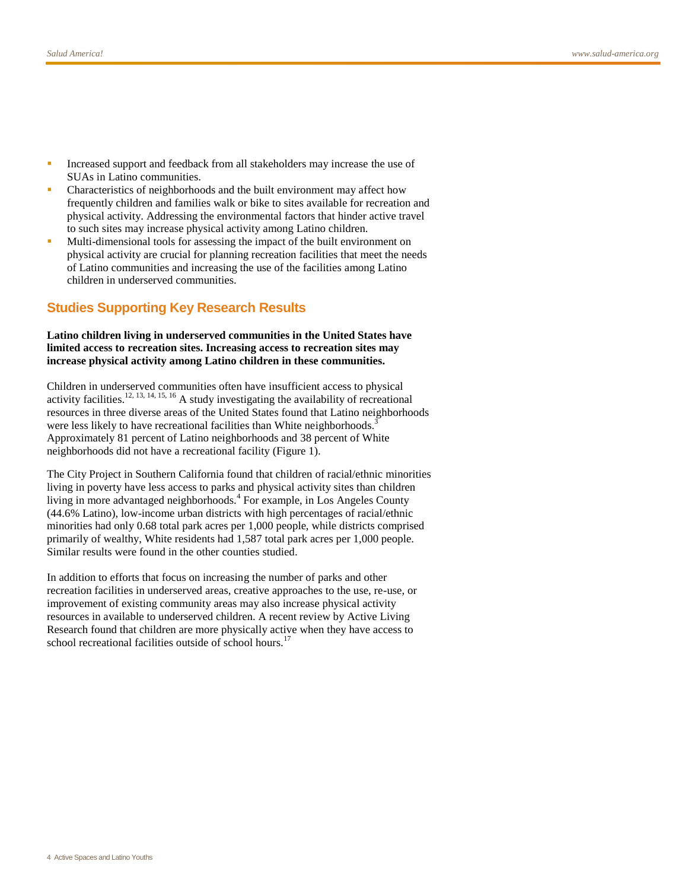- Increased support and feedback from all stakeholders may increase the use of SUAs in Latino communities.
- Characteristics of neighborhoods and the built environment may affect how frequently children and families walk or bike to sites available for recreation and physical activity. Addressing the environmental factors that hinder active travel to such sites may increase physical activity among Latino children.
- Multi-dimensional tools for assessing the impact of the built environment on physical activity are crucial for planning recreation facilities that meet the needs of Latino communities and increasing the use of the facilities among Latino children in underserved communities.

#### **Studies Supporting Key Research Results**

#### **Latino children living in underserved communities in the United States have limited access to recreation sites. Increasing access to recreation sites may increase physical activity among Latino children in these communities.**

Children in underserved communities often have insufficient access to physical activity facilities.<sup>[12,](#page-20-3) [13,](#page-20-4) [14,](#page-20-5) [15,](#page-20-6) [16](#page-20-7)</sup> A study investigating the availability of recreational resources in three diverse areas of the United States found that Latino neighborhoods were less likely to have recreational facilities than White neighborhoods[.](#page-19-2)<sup>3</sup> Approximately 81 percent of Latino neighborhoods and 38 percent of White neighborhoods did not have a recreational facility (Figure 1).

The City Project in Southern California found that children of racial/ethnic minorities living in poverty have less access to parks and physical activity sites than children living in more advantaged neighborhoods.<sup>[4](#page-19-3)</sup> For example, in Los Angeles County (44.6% Latino), low-income urban districts with high percentages of racial/ethnic minorities had only 0.68 total park acres per 1,000 people, while districts comprised primarily of wealthy, White residents had 1,587 total park acres per 1,000 people. Similar results were found in the other counties studied.

In addition to efforts that focus on increasing the number of parks and other recreation facilities in underserved areas, creative approaches to the use, re-use, or improvement of existing community areas may also increase physical activity resources in available to underserved children. A recent review by Active Living Research found that children are more physically active when they have access to school recreational facilities outside of school hours.<sup>[17](#page-21-0)</sup>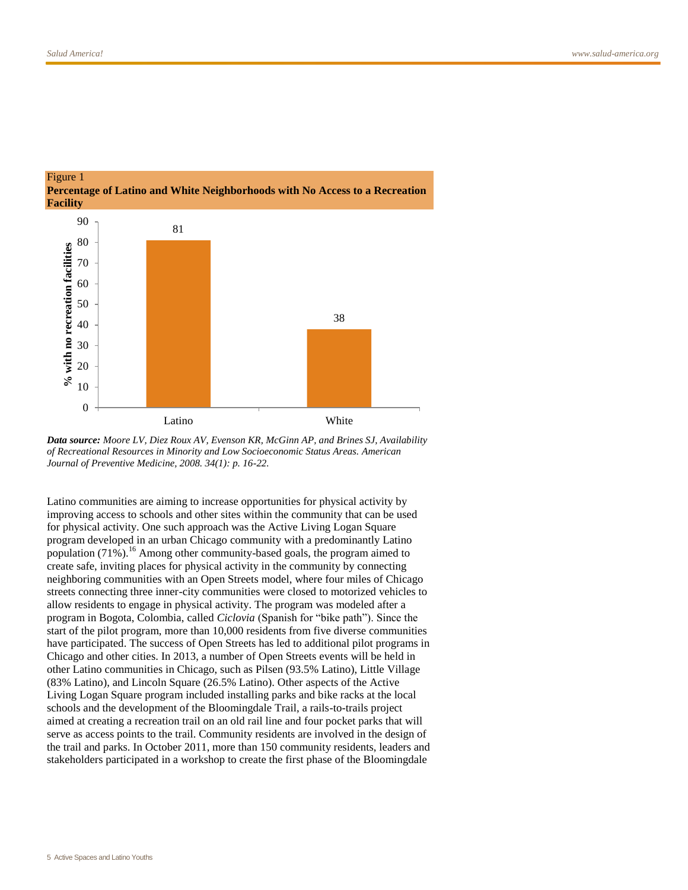



Latino communities are aiming to increase opportunities for physical activity by improving access to schools and other sites within the community that can be used for physical activity. One such approach was the Active Living Logan Square program developed in an urban Chicago community with a predominantly Latino population  $(71\%)$ .<sup>[16](#page-20-7)</sup> Among other community-based goals, the program aimed to create safe, inviting places for physical activity in the community by connecting neighboring communities with an Open Streets model, where four miles of Chicago streets connecting three inner-city communities were closed to motorized vehicles to allow residents to engage in physical activity. The program was modeled after a program in Bogota, Colombia, called *Ciclovia* (Spanish for "bike path"). Since the start of the pilot program, more than 10,000 residents from five diverse communities have participated. The success of Open Streets has led to additional pilot programs in Chicago and other cities. In 2013, a number of Open Streets events will be held in other Latino communities in Chicago, such as Pilsen (93.5% Latino), Little Village (83% Latino), and Lincoln Square (26.5% Latino). Other aspects of the Active Living Logan Square program included installing parks and bike racks at the local schools and the development of the Bloomingdale Trail, a rails-to-trails project aimed at creating a recreation trail on an old rail line and four pocket parks that will serve as access points to the trail. Community residents are involved in the design of the trail and parks. In October 2011, more than 150 community residents, leaders and stakeholders participated in a workshop to create the first phase of the Bloomingdale

*Data source: Moore LV, Diez Roux AV, Evenson KR, McGinn AP, and Brines SJ, Availability of Recreational Resources in Minority and Low Socioeconomic Status Areas. American Journal of Preventive Medicine, 2008. 34(1): p. 16-22.*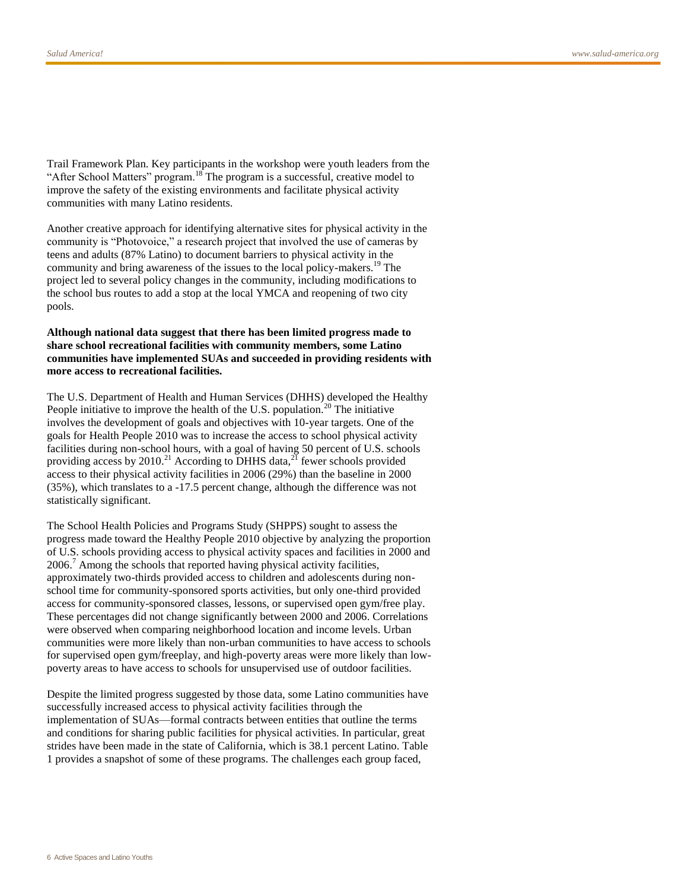Trail Framework Plan. Key participants in the workshop were youth leaders from the "After School Matters" program.<sup>[18](#page-21-1)</sup> The program is a successful, creative model to improve the safety of the existing environments and facilitate physical activity communities with many Latino residents.

Another creative approach for identifying alternative sites for physical activity in the community is "Photovoice," a research project that involved the use of cameras by teens and adults (87% Latino) to document barriers to physical activity in the community and bring awareness of the issues to the local policy-makers.<sup>[19](#page-21-2)</sup> The project led to several policy changes in the community, including modifications to the school bus routes to add a stop at the local YMCA and reopening of two city pools.

#### **Although national data suggest that there has been limited progress made to share school recreational facilities with community members, some Latino communities have implemented SUAs and succeeded in providing residents with more access to recreational facilities.**

The U.S. Department of Health and Human Services (DHHS) developed the Healthy People initiative to improve the health of the U.S. population.<sup>[20](#page-21-3)</sup> The initiative involves the development of goals and objectives with 10-year targets. One of the goals for Health People 2010 was to increase the access to school physical activity facilities during non-school hours, with a goal of having 50 percent of U.S. schools providing access by 2010.<sup>[21](#page-21-4)</sup> According to DHHS data, $^{21}$  fewer schools provided access to their physical activity facilities in 2006 (29%) than the baseline in 2000 (35%), which translates to a -17.5 percent change, although the difference was not statistically significant.

The School Health Policies and Programs Study (SHPPS) sought to assess the progress made toward the Healthy People 2010 objective by analyzing the proportion of U.S. schools providing access to physical activity spaces and facilities in 2000 and  $2006<sup>7</sup>$  Among the schools that reported having physical activity facilities, approximately two-thirds provided access to children and adolescents during nonschool time for community-sponsored sports activities, but only one-third provided access for community-sponsored classes, lessons, or supervised open gym/free play. These percentages did not change significantly between 2000 and 2006. Correlations were observed when comparing neighborhood location and income levels. Urban communities were more likely than non-urban communities to have access to schools for supervised open gym/freeplay, and high-poverty areas were more likely than lowpoverty areas to have access to schools for unsupervised use of outdoor facilities.

Despite the limited progress suggested by those data, some Latino communities have successfully increased access to physical activity facilities through the implementation of SUAs—formal contracts between entities that outline the terms and conditions for sharing public facilities for physical activities. In particular, great strides have been made in the state of California, which is 38.1 percent Latino. Table 1 provides a snapshot of some of these programs. The challenges each group faced,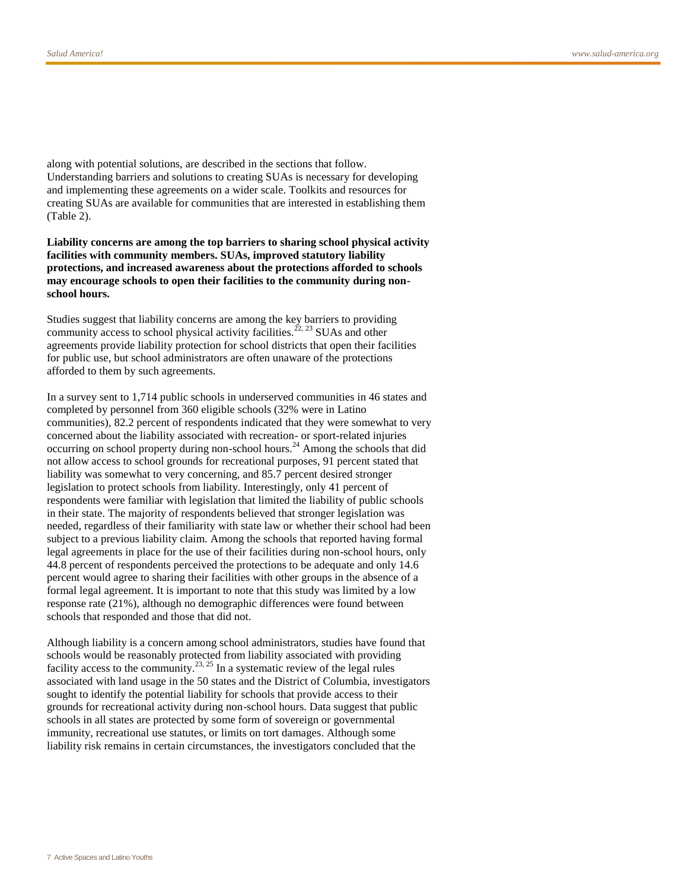along with potential solutions, are described in the sections that follow. Understanding barriers and solutions to creating SUAs is necessary for developing and implementing these agreements on a wider scale. Toolkits and resources for creating SUAs are available for communities that are interested in establishing them (Table 2).

**Liability concerns are among the top barriers to sharing school physical activity facilities with community members. SUAs, improved statutory liability protections, and increased awareness about the protections afforded to schools may encourage schools to open their facilities to the community during nonschool hours.** 

Studies suggest that liability concerns are among the key barriers to providing community access to school physical activity facilities.<sup>[22,](#page-21-5) [23](#page-21-6)</sup> SUAs and other agreements provide liability protection for school districts that open their facilities for public use, but school administrators are often unaware of the protections afforded to them by such agreements.

In a survey sent to 1,714 public schools in underserved communities in 46 states and completed by personnel from 360 eligible schools (32% were in Latino communities), 82.2 percent of respondents indicated that they were somewhat to very concerned about the liability associated with recreation- or sport-related injuries occurring on school property during non-school hours.<sup>[24](#page-21-7)</sup> Among the schools that did not allow access to school grounds for recreational purposes, 91 percent stated that liability was somewhat to very concerning, and 85.7 percent desired stronger legislation to protect schools from liability. Interestingly, only 41 percent of respondents were familiar with legislation that limited the liability of public schools in their state. The majority of respondents believed that stronger legislation was needed, regardless of their familiarity with state law or whether their school had been subject to a previous liability claim. Among the schools that reported having formal legal agreements in place for the use of their facilities during non-school hours, only 44.8 percent of respondents perceived the protections to be adequate and only 14.6 percent would agree to sharing their facilities with other groups in the absence of a formal legal agreement. It is important to note that this study was limited by a low response rate (21%), although no demographic differences were found between schools that responded and those that did not.

Although liability is a concern among school administrators, studies have found that schools would be reasonably protected from liability associated with providing facility access to the community.<sup>[23,](#page-21-6) [25](#page-22-0)</sup> In a systematic review of the legal rules associated with land usage in the 50 states and the District of Columbia, investigators sought to identify the potential liability for schools that provide access to their grounds for recreational activity during non-school hours. Data suggest that public schools in all states are protected by some form of sovereign or governmental immunity, recreational use statutes, or limits on tort damages. Although some liability risk remains in certain circumstances, the investigators concluded that the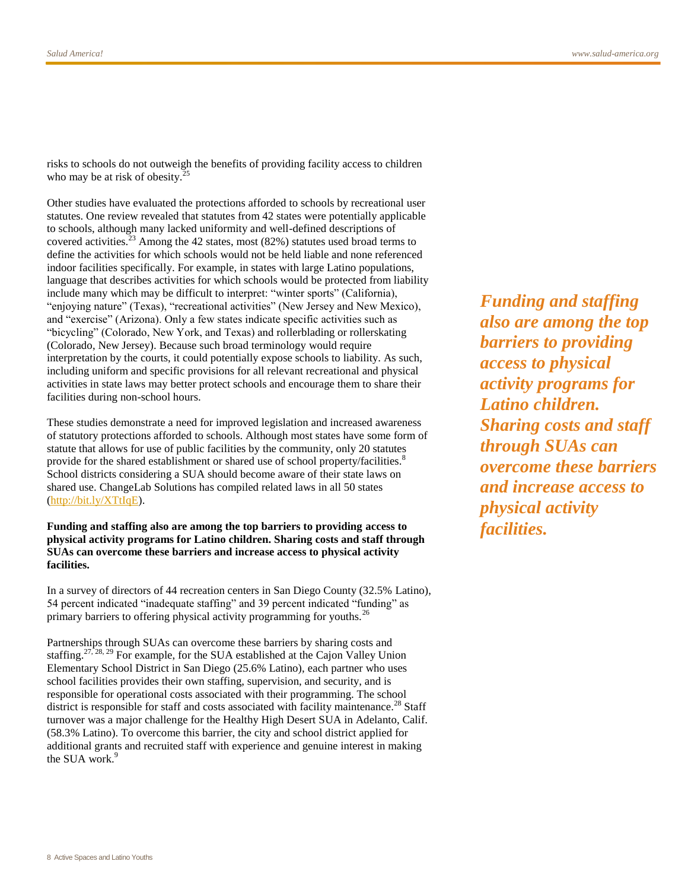risks to schools do not outweigh the benefits of providing facility access to children who may be at risk of obesity.<sup>[25](#page-22-0)</sup>

Other studies have evaluated the protections afforded to schools by recreational user statutes. One review revealed that statutes from 42 states were potentially applicable to schools, although many lacked uniformity and well-defined descriptions of covered activities.<sup>[23](#page-21-6)</sup> Among the 42 states, most (82%) statutes used broad terms to define the activities for which schools would not be held liable and none referenced indoor facilities specifically. For example, in states with large Latino populations, language that describes activities for which schools would be protected from liability include many which may be difficult to interpret: "winter sports" (California), "enjoying nature" (Texas), "recreational activities" (New Jersey and New Mexico), and "exercise" (Arizona). Only a few states indicate specific activities such as "bicycling" (Colorado, New York, and Texas) and rollerblading or rollerskating (Colorado, New Jersey). Because such broad terminology would require interpretation by the courts, it could potentially expose schools to liability. As such, including uniform and specific provisions for all relevant recreational and physical activities in state laws may better protect schools and encourage them to share their facilities during non-school hours.

These studies demonstrate a need for improved legislation and increased awareness of statutory protections afforded to schools. Although most states have some form of statute that allows for use of public facilities by the community, only 20 statutes provide for the shared establishment or shared use of school property/facilities.<sup>[8](#page-19-7)</sup> School districts considering a SUA should become aware of their state laws on shared use. ChangeLab Solutions has compiled related laws in all 50 states [\(http://bit.ly/XTtIqE\)](http://bit.ly/XTtIqE).

**Funding and staffing also are among the top barriers to providing access to physical activity programs for Latino children. Sharing costs and staff through SUAs can overcome these barriers and increase access to physical activity facilities.**

In a survey of directors of 44 recreation centers in San Diego County (32.5% Latino), 54 percent indicated "inadequate staffing" and 39 percent indicated "funding" as primary barriers to offering physical activity programming for youths.<sup>[26](#page-22-1)</sup>

Partnerships through SUAs can overcome these barriers by sharing costs and staffing.<sup>[27,](#page-22-2) [28,](#page-22-3) [29](#page-22-4)</sup> For example, for the SUA established at the Cajon Valley Union Elementary School District in San Diego (25.6% Latino), each partner who uses school facilities provides their own staffing, supervision, and security, and is responsible for operational costs associated with their programming. The school district is responsible for staff and costs associated with facility maintenance.<sup>[28](#page-22-3)</sup> Staff turnover was a major challenge for the Healthy High Desert SUA in Adelanto, Calif. (58.3% Latino). To overcome this barrier, the city and school district applied for additional grants and recruited staff with experience and genuine interest in making the SUA work.<sup>[9](#page-20-0)</sup>

*Funding and staffing also are among the top barriers to providing access to physical activity programs for Latino children. Sharing costs and staff through SUAs can overcome these barriers and increase access to physical activity facilities.*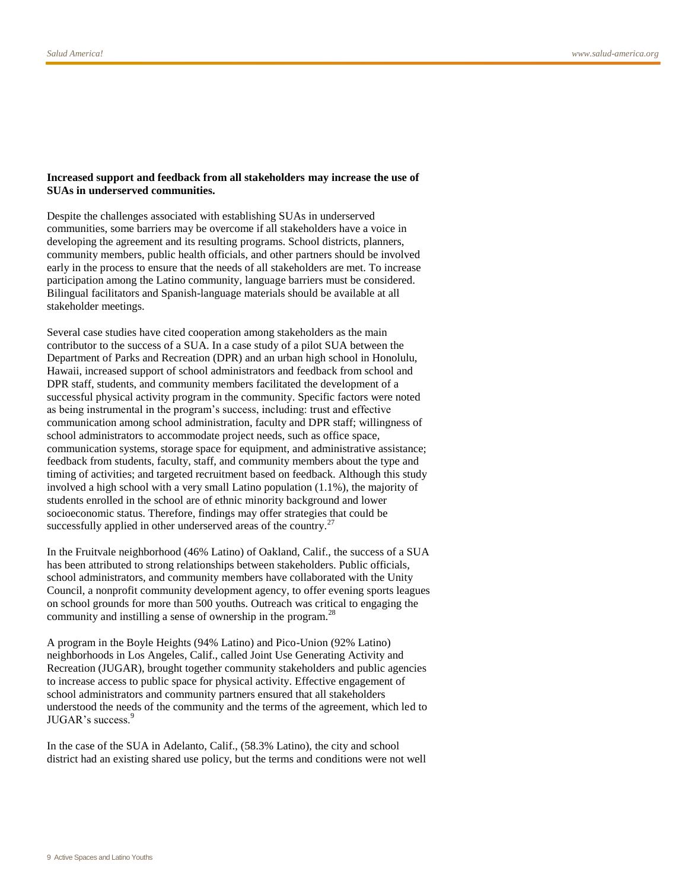#### **Increased support and feedback from all stakeholders may increase the use of SUAs in underserved communities.**

Despite the challenges associated with establishing SUAs in underserved communities, some barriers may be overcome if all stakeholders have a voice in developing the agreement and its resulting programs. School districts, planners, community members, public health officials, and other partners should be involved early in the process to ensure that the needs of all stakeholders are met. To increase participation among the Latino community, language barriers must be considered. Bilingual facilitators and Spanish-language materials should be available at all stakeholder meetings.

Several case studies have cited cooperation among stakeholders as the main contributor to the success of a SUA. In a case study of a pilot SUA between the Department of Parks and Recreation (DPR) and an urban high school in Honolulu, Hawaii, increased support of school administrators and feedback from school and DPR staff, students, and community members facilitated the development of a successful physical activity program in the community. Specific factors were noted as being instrumental in the program's success, including: trust and effective communication among school administration, faculty and DPR staff; willingness of school administrators to accommodate project needs, such as office space, communication systems, storage space for equipment, and administrative assistance; feedback from students, faculty, staff, and community members about the type and timing of activities; and targeted recruitment based on feedback. Although this study involved a high school with a very small Latino population (1.1%), the majority of students enrolled in the school are of ethnic minority background and lower socioeconomic status. Therefore, findings may offer strategies that could be successfully applied in other underserved areas of the country. $27$ 

In the Fruitvale neighborhood (46% Latino) of Oakland, Calif., the success of a SUA has been attributed to strong relationships between stakeholders. Public officials, school administrators, and community members have collaborated with the Unity Council, a nonprofit community development agency, to offer evening sports leagues on school grounds for more than 500 youths. Outreach was critical to engaging the community and instilling a sense of ownership in the program.<sup>[28](#page-22-3)</sup>

A program in the Boyle Heights (94% Latino) and Pico-Union (92% Latino) neighborhoods in Los Angeles, Calif., called Joint Use Generating Activity and Recreation (JUGAR), brought together community stakeholders and public agencies to increase access to public space for physical activity. Effective engagement of school administrators and community partners ensured that all stakeholders understood the needs of the community and the terms of the agreement, which led to JUGAR's success[.](#page-20-0)<sup>9</sup>

In the case of the SUA in Adelanto, Calif., (58.3% Latino), the city and school district had an existing shared use policy, but the terms and conditions were not well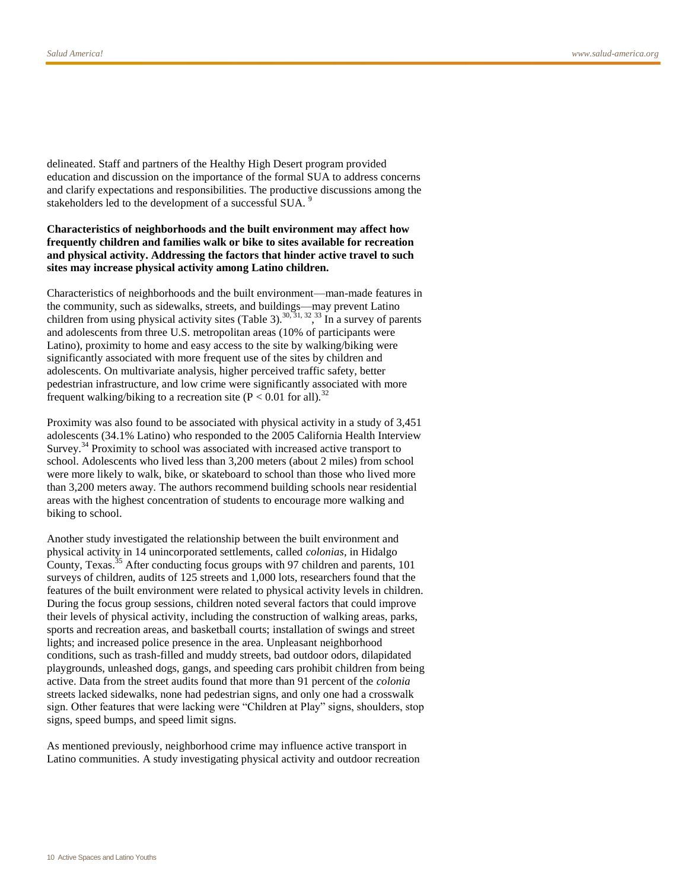delineated. Staff and partners of the Healthy High Desert program provided education and discussion on the importance of the formal SUA to address concerns and clarify expectations and responsibilities. The productive discussions among the stakeholdersled to the development of a successful SUA.<sup>9</sup>

#### **Characteristics of neighborhoods and the built environment may affect how frequently children and families walk or bike to sites available for recreation and physical activity. Addressing the factors that hinder active travel to such sites may increase physical activity among Latino children.**

Characteristics of neighborhoods and the built environment—man-made features in the community, such as sidewalks, streets, and buildings—may prevent Latino children from using physical activity sites (Table 3).<sup>[30,](#page-22-5) [31,](#page-22-6) [32](#page-22-7)</sup>, <sup>[33](#page-23-0)</sup> In a survey of parents and adolescents from three U.S. metropolitan areas (10% of participants were Latino), proximity to home and easy access to the site by walking/biking were significantly associated with more frequent use of the sites by children and adolescents. On multivariate analysis, higher perceived traffic safety, better pedestrian infrastructure, and low crime were significantly associated with more frequent walking/biking to a recreation site ( $P < 0.01$  for all).<sup>[32](#page-22-7)</sup>

Proximity was also found to be associated with physical activity in a study of 3,451 adolescents (34.1% Latino) who responded to the 2005 California Health Interview Survey.<sup>[34](#page-23-1)</sup> Proximity to school was associated with increased active transport to school. Adolescents who lived less than 3,200 meters (about 2 miles) from school were more likely to walk, bike, or skateboard to school than those who lived more than 3,200 meters away. The authors recommend building schools near residential areas with the highest concentration of students to encourage more walking and biking to school.

Another study investigated the relationship between the built environment and physical activity in 14 unincorporated settlements, called *colonias*, in Hidalgo County, Texas.<sup>[35](#page-23-2)</sup> After conducting focus groups with 97 children and parents, 101 surveys of children, audits of 125 streets and 1,000 lots, researchers found that the features of the built environment were related to physical activity levels in children. During the focus group sessions, children noted several factors that could improve their levels of physical activity, including the construction of walking areas, parks, sports and recreation areas, and basketball courts; installation of swings and street lights; and increased police presence in the area. Unpleasant neighborhood conditions, such as trash-filled and muddy streets, bad outdoor odors, dilapidated playgrounds, unleashed dogs, gangs, and speeding cars prohibit children from being active. Data from the street audits found that more than 91 percent of the *colonia* streets lacked sidewalks, none had pedestrian signs, and only one had a crosswalk sign. Other features that were lacking were "Children at Play" signs, shoulders, stop signs, speed bumps, and speed limit signs.

As mentioned previously, neighborhood crime may influence active transport in Latino communities. A study investigating physical activity and outdoor recreation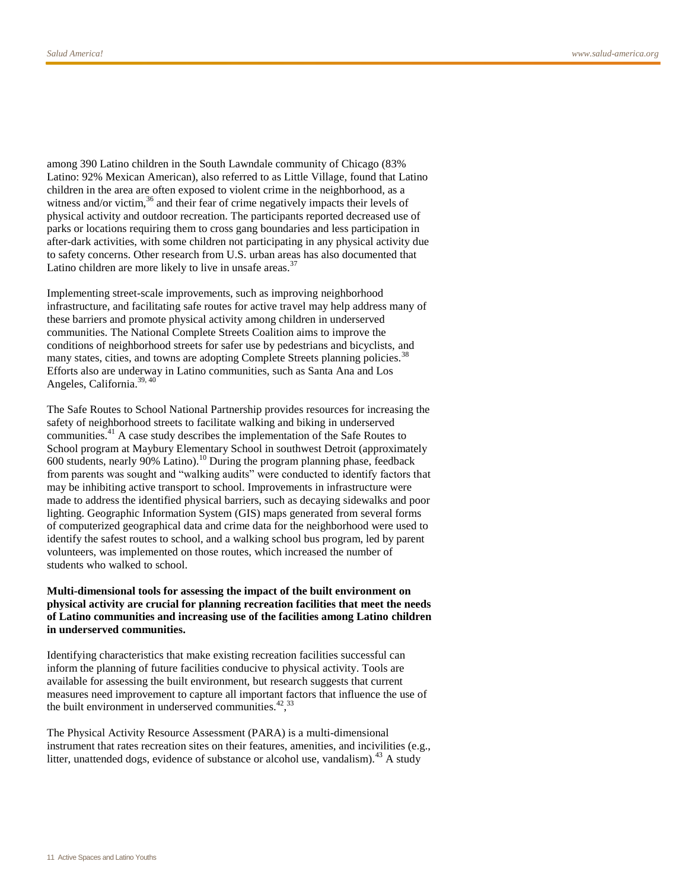among 390 Latino children in the South Lawndale community of Chicago (83% Latino: 92% Mexican American), also referred to as Little Village, found that Latino children in the area are often exposed to violent crime in the neighborhood, as a witness and/or victim,<sup>[36](#page-23-3)</sup> and their fear of crime negatively impacts their levels of physical activity and outdoor recreation. The participants reported decreased use of parks or locations requiring them to cross gang boundaries and less participation in after-dark activities, with some children not participating in any physical activity due to safety concerns. Other research from U.S. urban areas has also documented that Latino children are more likely to live in unsafe areas.<sup>[37](#page-23-4)</sup>

Implementing street-scale improvements, such as improving neighborhood infrastructure, and facilitating safe routes for active travel may help address many of these barriers and promote physical activity among children in underserved communities. The National Complete Streets Coalition aims to improve the conditions of neighborhood streets for safer use by pedestrians and bicyclists, and many states, cities, and towns are adopting Complete Streets planning policies.<sup>[38](#page-23-5)</sup> Efforts also are underway in Latino communities, such as Santa Ana and Los Angeles, California.<sup>[39,](#page-23-6) [40](#page-23-7)</sup>

The Safe Routes to School National Partnership provides resources for increasing the safety of neighborhood streets to facilitate walking and biking in underserved communities.[41](#page-23-8) A case study describes the implementation of the Safe Routes to School program at Maybury Elementary School in southwest Detroit (approximately 600 students, nearly 90% Latino).<sup>[10](#page-20-1)</sup> During the program planning phase, feedback from parents was sought and "walking audits" were conducted to identify factors that may be inhibiting active transport to school. Improvements in infrastructure were made to address the identified physical barriers, such as decaying sidewalks and poor lighting. Geographic Information System (GIS) maps generated from several forms of computerized geographical data and crime data for the neighborhood were used to identify the safest routes to school, and a walking school bus program, led by parent volunteers, was implemented on those routes, which increased the number of students who walked to school.

#### **Multi-dimensional tools for assessing the impact of the built environment on physical activity are crucial for planning recreation facilities that meet the needs of Latino communities and increasing use of the facilities among Latino children in underserved communities.**

Identifying characteristics that make existing recreation facilities successful can inform the planning of future facilities conducive to physical activity. Tools are available for assessing the built environment, but research suggests that current measures need improvement to capture all important factors that influence the use of the built environment in underserved communities. $42,33$  $42,33$  $42,33$ 

The Physical Activity Resource Assessment (PARA) is a multi-dimensional instrument that rates recreation sites on their features, amenities, and incivilities (e.g., litter, unattended dogs, evidence of substance or alcohol use, vandalism).<sup>[43](#page-24-1)</sup> A study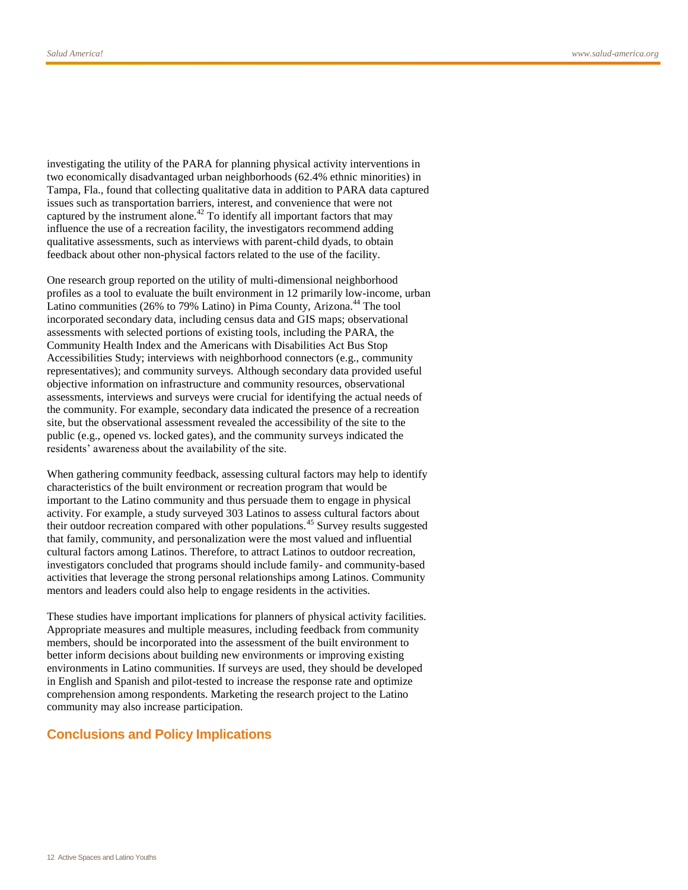investigating the utility of the PARA for planning physical activity interventions in two economically disadvantaged urban neighborhoods (62.4% ethnic minorities) in Tampa, Fla., found that collecting qualitative data in addition to PARA data captured issues such as transportation barriers, interest, and convenience that were not captured by the instrument alone.<sup>[42](#page-24-0)</sup> To identify all important factors that may influence the use of a recreation facility, the investigators recommend adding qualitative assessments, such as interviews with parent-child dyads, to obtain feedback about other non-physical factors related to the use of the facility.

One research group reported on the utility of multi-dimensional neighborhood profiles as a tool to evaluate the built environment in 12 primarily low-income, urban Latino communities (26% to 79% Latino) in Pima County, Arizona.<sup>[44](#page-24-2)</sup> The tool incorporated secondary data, including census data and GIS maps; observational assessments with selected portions of existing tools, including the PARA, the Community Health Index and the Americans with Disabilities Act Bus Stop Accessibilities Study; interviews with neighborhood connectors (e.g., community representatives); and community surveys. Although secondary data provided useful objective information on infrastructure and community resources, observational assessments, interviews and surveys were crucial for identifying the actual needs of the community. For example, secondary data indicated the presence of a recreation site, but the observational assessment revealed the accessibility of the site to the public (e.g., opened vs. locked gates), and the community surveys indicated the residents' awareness about the availability of the site.

When gathering community feedback, assessing cultural factors may help to identify characteristics of the built environment or recreation program that would be important to the Latino community and thus persuade them to engage in physical activity. For example, a study surveyed 303 Latinos to assess cultural factors about their outdoor recreation compared with other populations.<sup>[45](#page-24-3)</sup> Survey results suggested that family, community, and personalization were the most valued and influential cultural factors among Latinos. Therefore, to attract Latinos to outdoor recreation, investigators concluded that programs should include family- and community-based activities that leverage the strong personal relationships among Latinos. Community mentors and leaders could also help to engage residents in the activities.

These studies have important implications for planners of physical activity facilities. Appropriate measures and multiple measures, including feedback from community members, should be incorporated into the assessment of the built environment to better inform decisions about building new environments or improving existing environments in Latino communities. If surveys are used, they should be developed in English and Spanish and pilot-tested to increase the response rate and optimize comprehension among respondents. Marketing the research project to the Latino community may also increase participation.

#### **Conclusions and Policy Implications**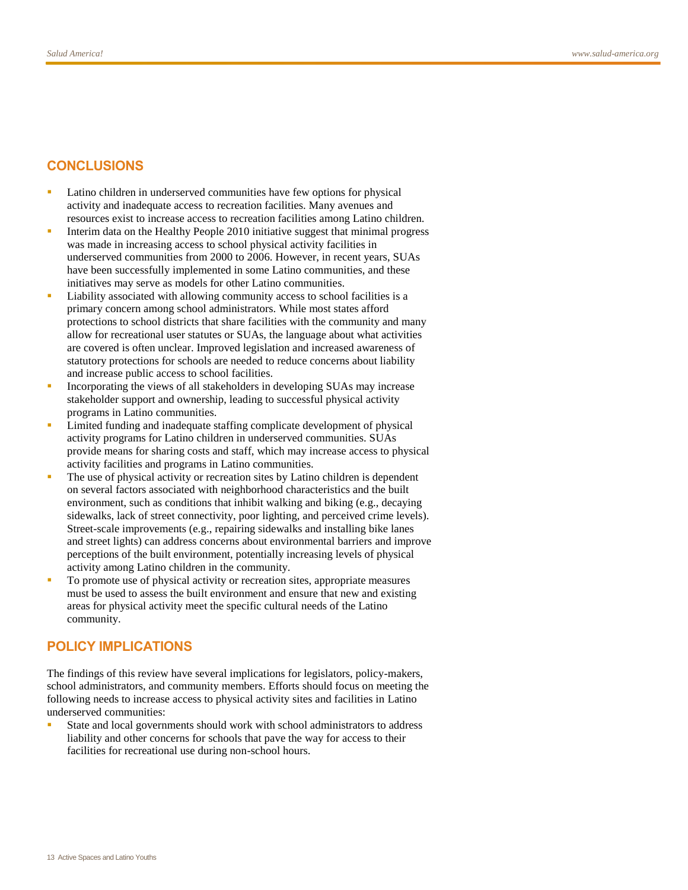### **CONCLUSIONS**

- **Latino children in underserved communities have few options for physical** activity and inadequate access to recreation facilities. Many avenues and resources exist to increase access to recreation facilities among Latino children.
- Interim data on the Healthy People 2010 initiative suggest that minimal progress was made in increasing access to school physical activity facilities in underserved communities from 2000 to 2006. However, in recent years, SUAs have been successfully implemented in some Latino communities, and these initiatives may serve as models for other Latino communities.
- Liability associated with allowing community access to school facilities is a primary concern among school administrators. While most states afford protections to school districts that share facilities with the community and many allow for recreational user statutes or SUAs, the language about what activities are covered is often unclear. Improved legislation and increased awareness of statutory protections for schools are needed to reduce concerns about liability and increase public access to school facilities.
- Incorporating the views of all stakeholders in developing SUAs may increase stakeholder support and ownership, leading to successful physical activity programs in Latino communities.
- Limited funding and inadequate staffing complicate development of physical activity programs for Latino children in underserved communities. SUAs provide means for sharing costs and staff, which may increase access to physical activity facilities and programs in Latino communities.
- The use of physical activity or recreation sites by Latino children is dependent on several factors associated with neighborhood characteristics and the built environment, such as conditions that inhibit walking and biking (e.g., decaying sidewalks, lack of street connectivity, poor lighting, and perceived crime levels). Street-scale improvements (e.g., repairing sidewalks and installing bike lanes and street lights) can address concerns about environmental barriers and improve perceptions of the built environment, potentially increasing levels of physical activity among Latino children in the community.
- To promote use of physical activity or recreation sites, appropriate measures must be used to assess the built environment and ensure that new and existing areas for physical activity meet the specific cultural needs of the Latino community.

#### **POLICY IMPLICATIONS**

The findings of this review have several implications for legislators, policy-makers, school administrators, and community members. Efforts should focus on meeting the following needs to increase access to physical activity sites and facilities in Latino underserved communities:

 State and local governments should work with school administrators to address liability and other concerns for schools that pave the way for access to their facilities for recreational use during non-school hours.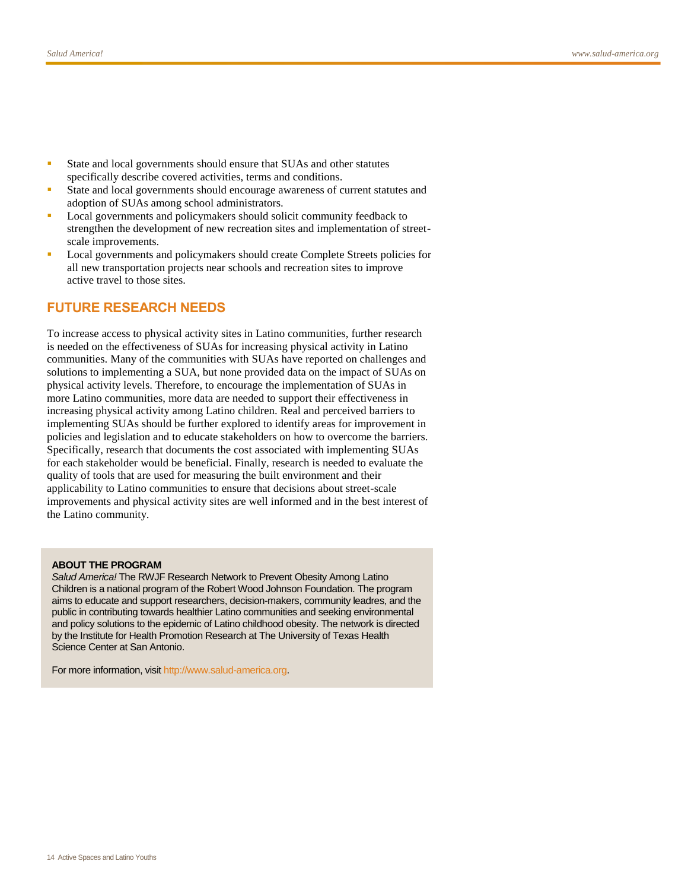- State and local governments should ensure that SUAs and other statutes specifically describe covered activities, terms and conditions.
- State and local governments should encourage awareness of current statutes and adoption of SUAs among school administrators.
- **Local governments and policymakers should solicit community feedback to** strengthen the development of new recreation sites and implementation of streetscale improvements.
- Local governments and policymakers should create Complete Streets policies for all new transportation projects near schools and recreation sites to improve active travel to those sites.

#### **FUTURE RESEARCH NEEDS**

To increase access to physical activity sites in Latino communities, further research is needed on the effectiveness of SUAs for increasing physical activity in Latino communities. Many of the communities with SUAs have reported on challenges and solutions to implementing a SUA, but none provided data on the impact of SUAs on physical activity levels. Therefore, to encourage the implementation of SUAs in more Latino communities, more data are needed to support their effectiveness in increasing physical activity among Latino children. Real and perceived barriers to implementing SUAs should be further explored to identify areas for improvement in policies and legislation and to educate stakeholders on how to overcome the barriers. Specifically, research that documents the cost associated with implementing SUAs for each stakeholder would be beneficial. Finally, research is needed to evaluate the quality of tools that are used for measuring the built environment and their applicability to Latino communities to ensure that decisions about street-scale improvements and physical activity sites are well informed and in the best interest of the Latino community.

#### **ABOUT THE PROGRAM**

*Salud America!* The RWJF Research Network to Prevent Obesity Among Latino Children is a national program of the Robert Wood Johnson Foundation. The program aims to educate and support researchers, decision-makers, community leadres, and the public in contributing towards healthier Latino communities and seeking environmental and policy solutions to the epidemic of Latino childhood obesity. The network is directed by the Institute for Health Promotion Research at The University of Texas Health Science Center at San Antonio.

For more information, visi[t http://www.salud-america.org.](http://www.salud-america.org/)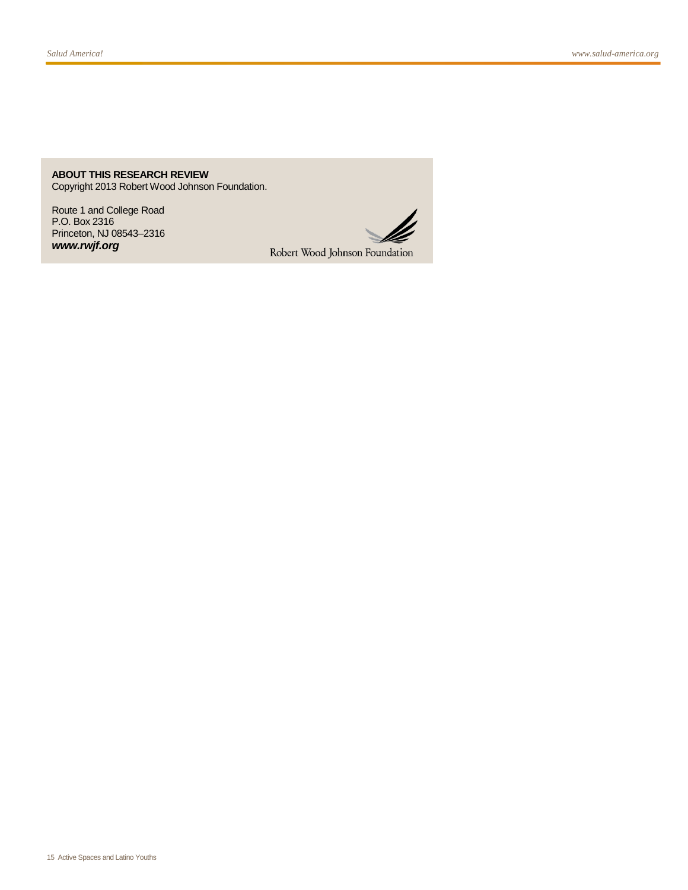**ABOUT THIS RESEARCH REVIEW** Copyright 2013 Robert Wood Johnson Foundation.

Route 1 and College Road P.O. Box 2316 Princeton, NJ 08543–2316 *www.rwjf.org*



Robert Wood Johnson Foundation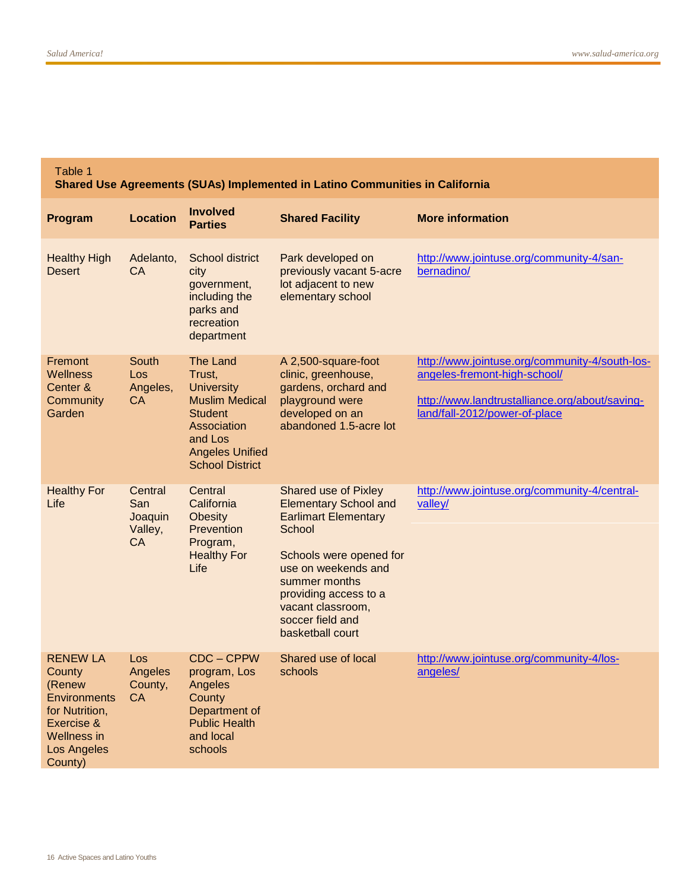#### Table 1 **Shared Use Agreements (SUAs) Implemented in Latino Communities in California Program Location Involved Parties Shared Facility More information** Healthy High **Desert** Adelanto,  $C_A$ School district city government, including the parks and recreation department Park developed on previously vacant 5-acre lot adjacent to new elementary school [http://www.jointuse.org/community-4/san](http://www.jointuse.org/community-4/san-bernadino/)[bernadino/](http://www.jointuse.org/community-4/san-bernadino/) **Fremont Wellness** Center & **Community** Garden **South** Los Angeles, CA The Land Trust, **University** Muslim Medical **Student Association** and Los Angeles Unified School District A 2,500-square-foot clinic, greenhouse, gardens, orchard and playground were developed on an abandoned 1.5-acre lot [http://www.jointuse.org/community-4/south-los](http://www.jointuse.org/community-4/south-los-angeles-fremont-high-school/)[angeles-fremont-high-school/](http://www.jointuse.org/community-4/south-los-angeles-fremont-high-school/) [http://www.landtrustalliance.org/about/saving](http://www.landtrustalliance.org/about/saving-land/fall-2012/power-of-place)[land/fall-2012/power-of-place](http://www.landtrustalliance.org/about/saving-land/fall-2012/power-of-place) Healthy For Life **Central** San **Joaquin** Valley, CA **Central California Obesity Prevention** Program, Healthy For Life Shared use of Pixley Elementary School and Earlimart Elementary **School** Schools were opened for use on weekends and summer months providing access to a vacant classroom, soccer field and basketball court [http://www.jointuse.org/community-4/central](http://www.jointuse.org/community-4/central-valley/)[valley/](http://www.jointuse.org/community-4/central-valley/) RENEW LA **County** (Renew **Environments** for Nutrition, Exercise & Wellness in Los Angeles County) Los Angeles County, **CA** CDC – CPPW program, Los Angeles **County** Department of Public Health and local schools Shared use of local schools [http://www.jointuse.org/community-4/los](http://www.jointuse.org/community-4/los-angeles/)[angeles/](http://www.jointuse.org/community-4/los-angeles/)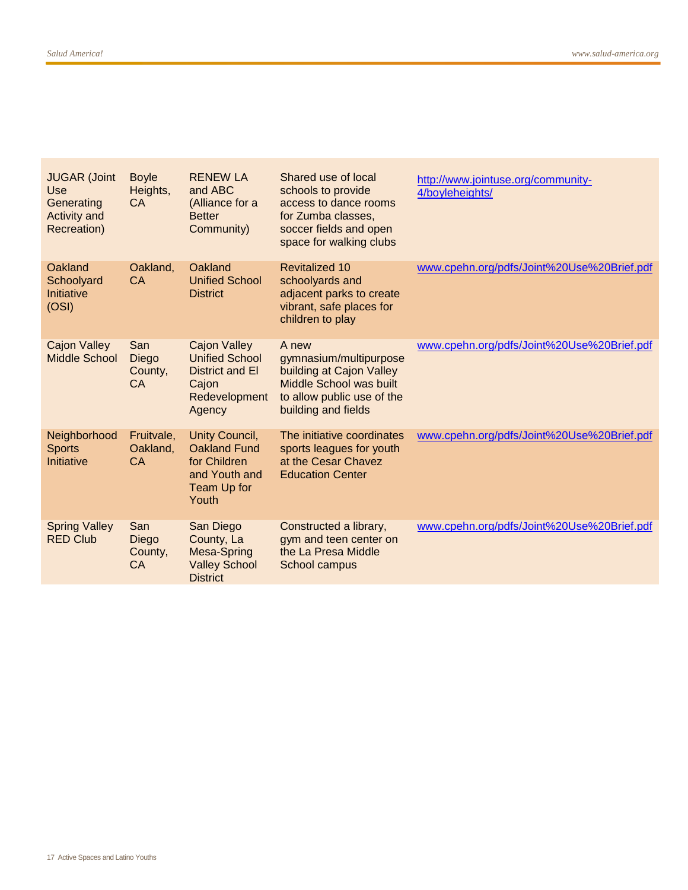| <b>JUGAR (Joint</b><br>Use<br>Generating<br><b>Activity and</b><br>Recreation) | <b>Boyle</b><br>Heights,<br><b>CA</b> | <b>RENEW LA</b><br>and ABC<br>(Alliance for a<br><b>Better</b><br>Community)                        | Shared use of local<br>schools to provide<br>access to dance rooms<br>for Zumba classes,<br>soccer fields and open<br>space for walking clubs | http://www.jointuse.org/community-<br>4/boyleheights/ |
|--------------------------------------------------------------------------------|---------------------------------------|-----------------------------------------------------------------------------------------------------|-----------------------------------------------------------------------------------------------------------------------------------------------|-------------------------------------------------------|
| Oakland<br>Schoolyard<br>Initiative<br>(OSI)                                   | Oakland,<br><b>CA</b>                 | Oakland<br><b>Unified School</b><br><b>District</b>                                                 | <b>Revitalized 10</b><br>schoolyards and<br>adjacent parks to create<br>vibrant, safe places for<br>children to play                          | www.cpehn.org/pdfs/Joint%20Use%20Brief.pdf            |
| <b>Cajon Valley</b><br><b>Middle School</b>                                    | San<br>Diego<br>County,<br><b>CA</b>  | <b>Cajon Valley</b><br><b>Unified School</b><br>District and El<br>Cajon<br>Redevelopment<br>Agency | A new<br>gymnasium/multipurpose<br>building at Cajon Valley<br>Middle School was built<br>to allow public use of the<br>building and fields   | www.cpehn.org/pdfs/Joint%20Use%20Brief.pdf            |
| Neighborhood<br><b>Sports</b><br>Initiative                                    | Fruitvale,<br>Oakland,<br><b>CA</b>   | Unity Council,<br><b>Oakland Fund</b><br>for Children<br>and Youth and<br>Team Up for<br>Youth      | The initiative coordinates<br>sports leagues for youth<br>at the Cesar Chavez<br><b>Education Center</b>                                      | www.cpehn.org/pdfs/Joint%20Use%20Brief.pdf            |
| <b>Spring Valley</b><br><b>RED Club</b>                                        | San<br>Diego<br>County,<br><b>CA</b>  | San Diego<br>County, La<br>Mesa-Spring<br><b>Valley School</b><br><b>District</b>                   | Constructed a library,<br>gym and teen center on<br>the La Presa Middle<br>School campus                                                      | www.cpehn.org/pdfs/Joint%20Use%20Brief.pdf            |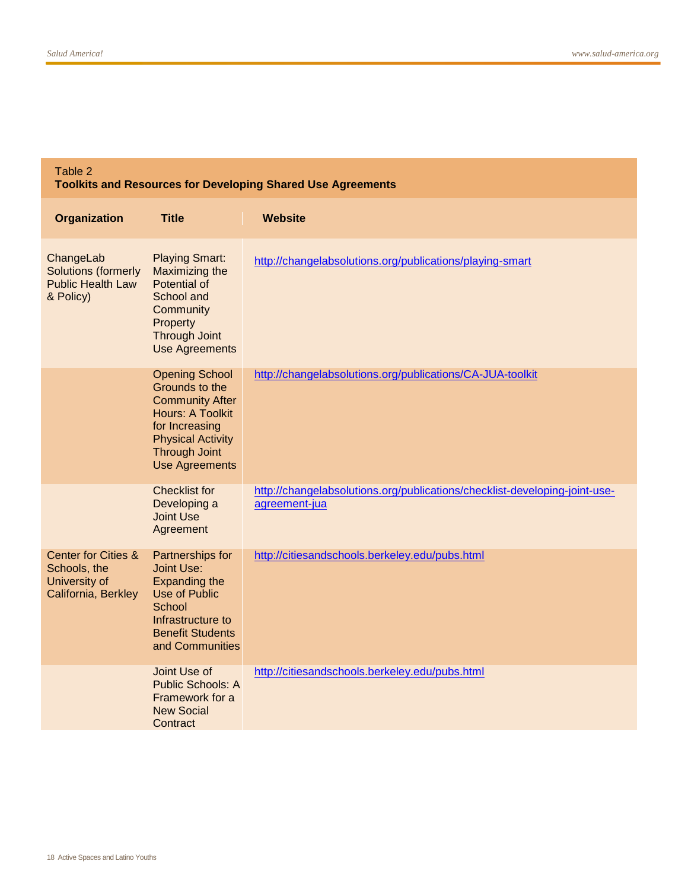#### Table 2

**Toolkits and Resources for Developing Shared Use Agreements**

| Organization                                                                           | <b>Title</b>                                                                                                                                                                                | <b>Website</b>                                                                              |
|----------------------------------------------------------------------------------------|---------------------------------------------------------------------------------------------------------------------------------------------------------------------------------------------|---------------------------------------------------------------------------------------------|
| ChangeLab<br><b>Solutions (formerly</b><br><b>Public Health Law</b><br>& Policy)       | <b>Playing Smart:</b><br>Maximizing the<br><b>Potential of</b><br>School and<br>Community<br>Property<br><b>Through Joint</b><br><b>Use Agreements</b>                                      | http://changelabsolutions.org/publications/playing-smart                                    |
|                                                                                        | <b>Opening School</b><br>Grounds to the<br><b>Community After</b><br><b>Hours: A Toolkit</b><br>for Increasing<br><b>Physical Activity</b><br><b>Through Joint</b><br><b>Use Agreements</b> | http://changelabsolutions.org/publications/CA-JUA-toolkit                                   |
|                                                                                        | <b>Checklist for</b><br>Developing a<br><b>Joint Use</b><br>Agreement                                                                                                                       | http://changelabsolutions.org/publications/checklist-developing-joint-use-<br>agreement-jua |
| <b>Center for Cities &amp;</b><br>Schools, the<br>University of<br>California, Berkley | Partnerships for<br><b>Joint Use:</b><br><b>Expanding the</b><br><b>Use of Public</b><br>School<br>Infrastructure to<br><b>Benefit Students</b><br>and Communities                          | http://citiesandschools.berkeley.edu/pubs.html                                              |
|                                                                                        | Joint Use of<br><b>Public Schools: A</b><br>Framework for a<br><b>New Social</b><br>Contract                                                                                                | http://citiesandschools.berkeley.edu/pubs.html                                              |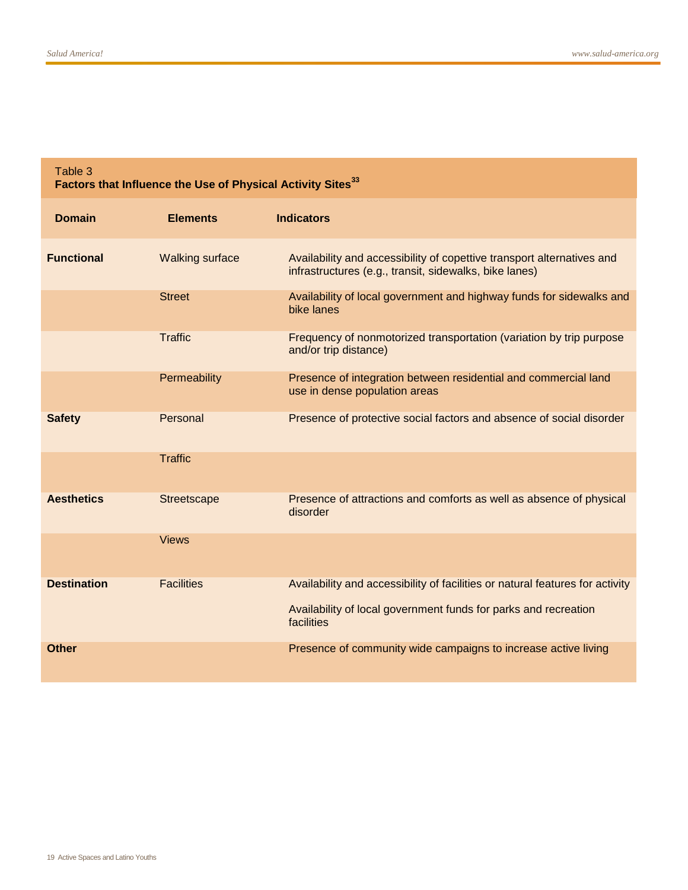| Table 3<br>Factors that Influence the Use of Physical Activity Sites <sup>33</sup> |                        |                                                                                                                                  |  |  |  |
|------------------------------------------------------------------------------------|------------------------|----------------------------------------------------------------------------------------------------------------------------------|--|--|--|
| <b>Domain</b>                                                                      | <b>Elements</b>        | <b>Indicators</b>                                                                                                                |  |  |  |
| <b>Functional</b>                                                                  | <b>Walking surface</b> | Availability and accessibility of copettive transport alternatives and<br>infrastructures (e.g., transit, sidewalks, bike lanes) |  |  |  |
|                                                                                    | <b>Street</b>          | Availability of local government and highway funds for sidewalks and<br>bike lanes                                               |  |  |  |
|                                                                                    | <b>Traffic</b>         | Frequency of nonmotorized transportation (variation by trip purpose<br>and/or trip distance)                                     |  |  |  |
|                                                                                    | Permeability           | Presence of integration between residential and commercial land<br>use in dense population areas                                 |  |  |  |
| <b>Safety</b>                                                                      | Personal               | Presence of protective social factors and absence of social disorder                                                             |  |  |  |
|                                                                                    | <b>Traffic</b>         |                                                                                                                                  |  |  |  |
| <b>Aesthetics</b>                                                                  | Streetscape            | Presence of attractions and comforts as well as absence of physical<br>disorder                                                  |  |  |  |
|                                                                                    | <b>Views</b>           |                                                                                                                                  |  |  |  |
| <b>Destination</b>                                                                 | <b>Facilities</b>      | Availability and accessibility of facilities or natural features for activity                                                    |  |  |  |
|                                                                                    |                        | Availability of local government funds for parks and recreation<br>facilities                                                    |  |  |  |
| Other                                                                              |                        | Presence of community wide campaigns to increase active living                                                                   |  |  |  |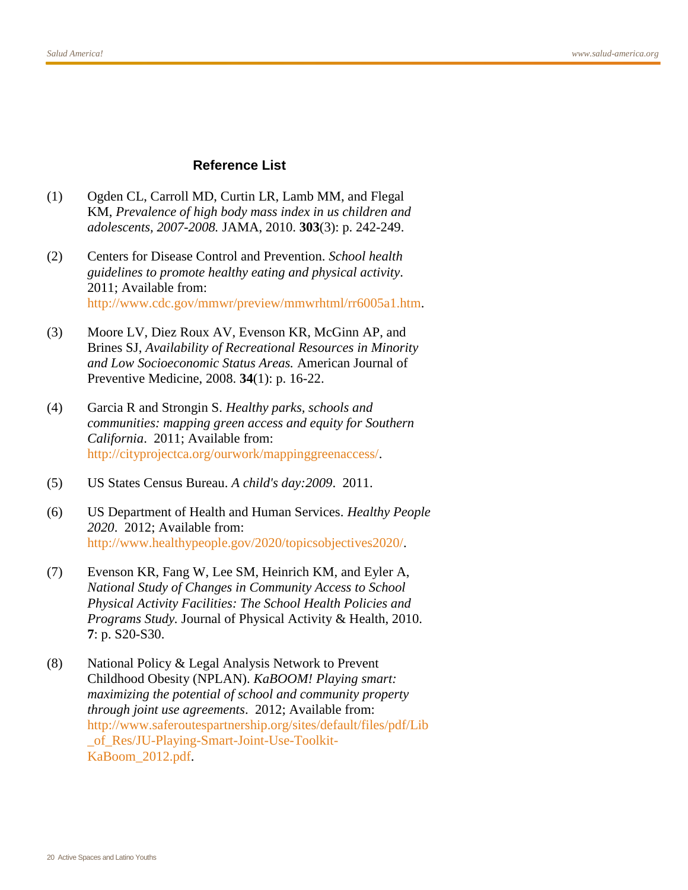#### **Reference List**

- <span id="page-19-0"></span>(1) Ogden CL, Carroll MD, Curtin LR, Lamb MM, and Flegal KM, *Prevalence of high body mass index in us children and adolescents, 2007-2008.* JAMA, 2010. **303**(3): p. 242-249.
- <span id="page-19-1"></span>(2) Centers for Disease Control and Prevention. *School health guidelines to promote healthy eating and physical activity*. 2011; Available from: [http://www.cdc.gov/mmwr/preview/mmwrhtml/rr6005a1.htm.](http://www.cdc.gov/mmwr/preview/mmwrhtml/rr6005a1.htm)
- <span id="page-19-2"></span>(3) Moore LV, Diez Roux AV, Evenson KR, McGinn AP, and Brines SJ, *Availability of Recreational Resources in Minority and Low Socioeconomic Status Areas.* American Journal of Preventive Medicine, 2008. **34**(1): p. 16-22.
- <span id="page-19-3"></span>(4) Garcia R and Strongin S. *Healthy parks, schools and communities: mapping green access and equity for Southern California*. 2011; Available from: [http://cityprojectca.org/ourwork/mappinggreenaccess/.](http://cityprojectca.org/ourwork/mappinggreenaccess/)
- <span id="page-19-4"></span>(5) US States Census Bureau. *A child's day:2009*. 2011.
- <span id="page-19-5"></span>(6) US Department of Health and Human Services. *Healthy People 2020*. 2012; Available from: [http://www.healthypeople.gov/2020/topicsobjectives2020/.](http://www.healthypeople.gov/2020/topicsobjectives2020/)
- <span id="page-19-6"></span>(7) Evenson KR, Fang W, Lee SM, Heinrich KM, and Eyler A, *National Study of Changes in Community Access to School Physical Activity Facilities: The School Health Policies and Programs Study.* Journal of Physical Activity & Health, 2010. **7**: p. S20-S30.
- <span id="page-19-7"></span>(8) National Policy & Legal Analysis Network to Prevent Childhood Obesity (NPLAN). *KaBOOM! Playing smart: maximizing the potential of school and community property through joint use agreements*. 2012; Available from: [http://www.saferoutespartnership.org/sites/default/files/pdf/Lib](http://www.saferoutespartnership.org/sites/default/files/pdf/Lib_of_Res/JU-Playing-Smart-Joint-Use-Toolkit-KaBoom_2012.pdf) [\\_of\\_Res/JU-Playing-Smart-Joint-Use-Toolkit-](http://www.saferoutespartnership.org/sites/default/files/pdf/Lib_of_Res/JU-Playing-Smart-Joint-Use-Toolkit-KaBoom_2012.pdf)[KaBoom\\_2012.pdf.](http://www.saferoutespartnership.org/sites/default/files/pdf/Lib_of_Res/JU-Playing-Smart-Joint-Use-Toolkit-KaBoom_2012.pdf)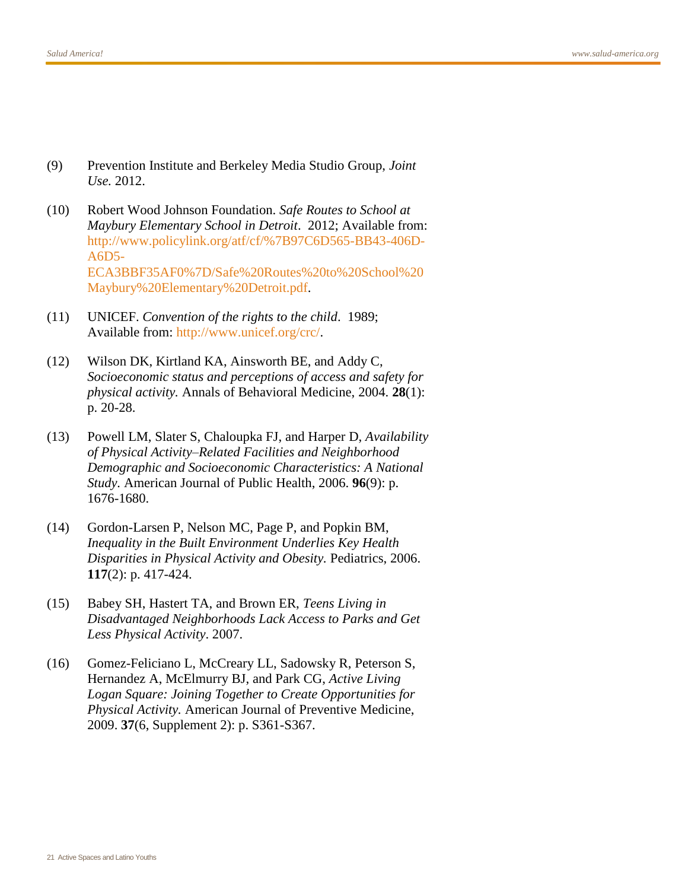- <span id="page-20-0"></span>(9) Prevention Institute and Berkeley Media Studio Group, *Joint Use.* 2012.
- <span id="page-20-1"></span>(10) Robert Wood Johnson Foundation. *Safe Routes to School at Maybury Elementary School in Detroit*. 2012; Available from: [http://www.policylink.org/atf/cf/%7B97C6D565-BB43-406D-](http://www.policylink.org/atf/cf/%7B97C6D565-BB43-406D-A6D5-ECA3BBF35AF0%7D/Safe%20Routes%20to%20School%20Maybury%20Elementary%20Detroit.pdf)[A6D5-](http://www.policylink.org/atf/cf/%7B97C6D565-BB43-406D-A6D5-ECA3BBF35AF0%7D/Safe%20Routes%20to%20School%20Maybury%20Elementary%20Detroit.pdf) [ECA3BBF35AF0%7D/Safe%20Routes%20to%20School%20](http://www.policylink.org/atf/cf/%7B97C6D565-BB43-406D-A6D5-ECA3BBF35AF0%7D/Safe%20Routes%20to%20School%20Maybury%20Elementary%20Detroit.pdf) [Maybury%20Elementary%20Detroit.pdf.](http://www.policylink.org/atf/cf/%7B97C6D565-BB43-406D-A6D5-ECA3BBF35AF0%7D/Safe%20Routes%20to%20School%20Maybury%20Elementary%20Detroit.pdf)
- <span id="page-20-2"></span>(11) UNICEF. *Convention of the rights to the child*. 1989; Available from: [http://www.unicef.org/crc/.](http://www.unicef.org/crc/)
- <span id="page-20-3"></span>(12) Wilson DK, Kirtland KA, Ainsworth BE, and Addy C, *Socioeconomic status and perceptions of access and safety for physical activity.* Annals of Behavioral Medicine, 2004. **28**(1): p. 20-28.
- <span id="page-20-4"></span>(13) Powell LM, Slater S, Chaloupka FJ, and Harper D, *Availability of Physical Activity–Related Facilities and Neighborhood Demographic and Socioeconomic Characteristics: A National Study.* American Journal of Public Health, 2006. **96**(9): p. 1676-1680.
- <span id="page-20-5"></span>(14) Gordon-Larsen P, Nelson MC, Page P, and Popkin BM, *Inequality in the Built Environment Underlies Key Health Disparities in Physical Activity and Obesity.* Pediatrics, 2006. **117**(2): p. 417-424.
- <span id="page-20-6"></span>(15) Babey SH, Hastert TA, and Brown ER, *Teens Living in Disadvantaged Neighborhoods Lack Access to Parks and Get Less Physical Activity*. 2007.
- <span id="page-20-7"></span>(16) Gomez-Feliciano L, McCreary LL, Sadowsky R, Peterson S, Hernandez A, McElmurry BJ, and Park CG, *Active Living Logan Square: Joining Together to Create Opportunities for Physical Activity.* American Journal of Preventive Medicine, 2009. **37**(6, Supplement 2): p. S361-S367.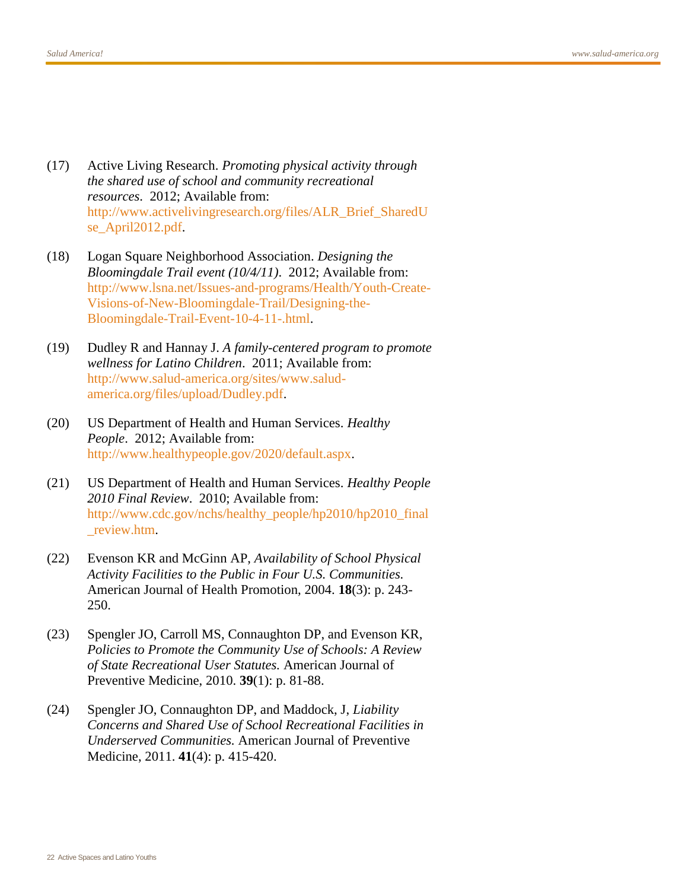- <span id="page-21-0"></span>(17) Active Living Research. *Promoting physical activity through the shared use of school and community recreational resources*. 2012; Available from: [http://www.activelivingresearch.org/files/ALR\\_Brief\\_SharedU](http://www.activelivingresearch.org/files/ALR_Brief_SharedUse_April2012.pdf) se April<sub>2012</sub>.pdf.
- <span id="page-21-1"></span>(18) Logan Square Neighborhood Association. *Designing the Bloomingdale Trail event (10/4/11)*. 2012; Available from: [http://www.lsna.net/Issues-and-programs/Health/Youth-Create-](http://www.lsna.net/Issues-and-programs/Health/Youth-Create-Visions-of-New-Bloomingdale-Trail/Designing-the-Bloomingdale-Trail-Event-10-4-11-.html)[Visions-of-New-Bloomingdale-Trail/Designing-the-](http://www.lsna.net/Issues-and-programs/Health/Youth-Create-Visions-of-New-Bloomingdale-Trail/Designing-the-Bloomingdale-Trail-Event-10-4-11-.html)[Bloomingdale-Trail-Event-10-4-11-.html.](http://www.lsna.net/Issues-and-programs/Health/Youth-Create-Visions-of-New-Bloomingdale-Trail/Designing-the-Bloomingdale-Trail-Event-10-4-11-.html)
- <span id="page-21-2"></span>(19) Dudley R and Hannay J. *A family-centered program to promote wellness for Latino Children*. 2011; Available from: [http://www.salud-america.org/sites/www.salud](http://www.salud-america.org/sites/www.salud-america.org/files/upload/Dudley.pdf)[america.org/files/upload/Dudley.pdf.](http://www.salud-america.org/sites/www.salud-america.org/files/upload/Dudley.pdf)
- <span id="page-21-3"></span>(20) US Department of Health and Human Services. *Healthy People*. 2012; Available from: [http://www.healthypeople.gov/2020/default.aspx.](http://www.healthypeople.gov/2020/default.aspx)
- <span id="page-21-4"></span>(21) US Department of Health and Human Services. *Healthy People 2010 Final Review*. 2010; Available from: [http://www.cdc.gov/nchs/healthy\\_people/hp2010/hp2010\\_final](http://www.cdc.gov/nchs/healthy_people/hp2010/hp2010_final_review.htm) [\\_review.htm.](http://www.cdc.gov/nchs/healthy_people/hp2010/hp2010_final_review.htm)
- <span id="page-21-5"></span>(22) Evenson KR and McGinn AP, *Availability of School Physical Activity Facilities to the Public in Four U.S. Communities.* American Journal of Health Promotion, 2004. **18**(3): p. 243- 250.
- <span id="page-21-6"></span>(23) Spengler JO, Carroll MS, Connaughton DP, and Evenson KR, *Policies to Promote the Community Use of Schools: A Review of State Recreational User Statutes.* American Journal of Preventive Medicine, 2010. **39**(1): p. 81-88.
- <span id="page-21-7"></span>(24) Spengler JO, Connaughton DP, and Maddock, J, *Liability Concerns and Shared Use of School Recreational Facilities in Underserved Communities.* American Journal of Preventive Medicine, 2011. **41**(4): p. 415-420.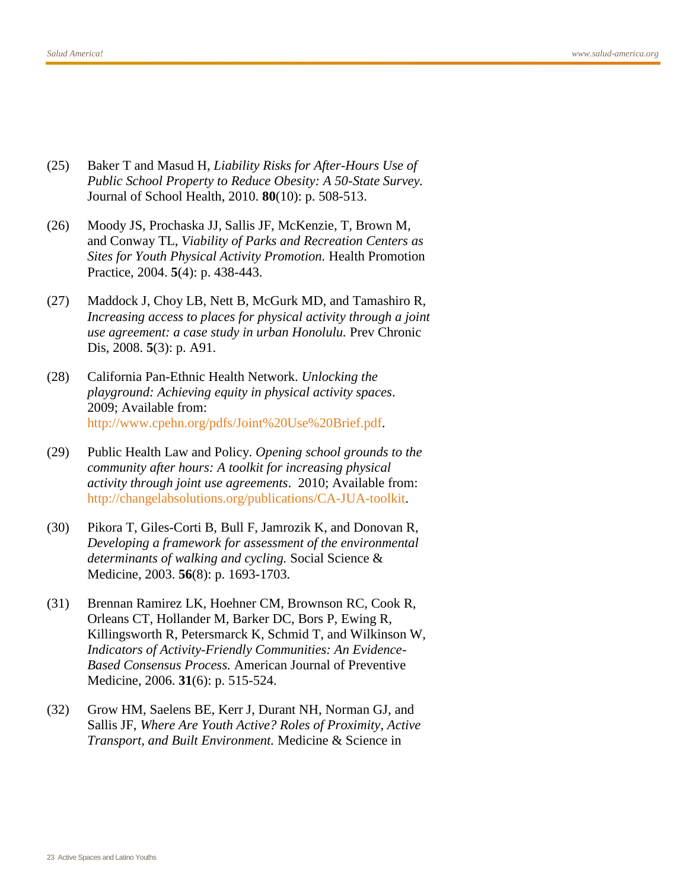- <span id="page-22-0"></span>(25) Baker T and Masud H, *Liability Risks for After-Hours Use of Public School Property to Reduce Obesity: A 50-State Survey.* Journal of School Health, 2010. **80**(10): p. 508-513.
- <span id="page-22-1"></span>(26) Moody JS, Prochaska JJ, Sallis JF, McKenzie, T, Brown M, and Conway TL, *Viability of Parks and Recreation Centers as Sites for Youth Physical Activity Promotion.* Health Promotion Practice, 2004. **5**(4): p. 438-443.
- <span id="page-22-2"></span>(27) Maddock J, Choy LB, Nett B, McGurk MD, and Tamashiro R, *Increasing access to places for physical activity through a joint use agreement: a case study in urban Honolulu.* Prev Chronic Dis, 2008. **5**(3): p. A91.
- <span id="page-22-3"></span>(28) California Pan-Ethnic Health Network. *Unlocking the playground: Achieving equity in physical activity spaces*. 2009; Available from: [http://www.cpehn.org/pdfs/Joint%20Use%20Brief.pdf.](http://www.cpehn.org/pdfs/Joint%20Use%20Brief.pdf)
- <span id="page-22-4"></span>(29) Public Health Law and Policy. *Opening school grounds to the community after hours: A toolkit for increasing physical activity through joint use agreements*. 2010; Available from: [http://changelabsolutions.org/publications/CA-JUA-toolkit.](http://changelabsolutions.org/publications/CA-JUA-toolkit)
- <span id="page-22-5"></span>(30) Pikora T, Giles-Corti B, Bull F, Jamrozik K, and Donovan R, *Developing a framework for assessment of the environmental determinants of walking and cycling.* Social Science & Medicine, 2003. **56**(8): p. 1693-1703.
- <span id="page-22-6"></span>(31) Brennan Ramirez LK, Hoehner CM, Brownson RC, Cook R, Orleans CT, Hollander M, Barker DC, Bors P, Ewing R, Killingsworth R, Petersmarck K, Schmid T, and Wilkinson W, *Indicators of Activity-Friendly Communities: An Evidence-Based Consensus Process.* American Journal of Preventive Medicine, 2006. **31**(6): p. 515-524.
- <span id="page-22-7"></span>(32) Grow HM, Saelens BE, Kerr J, Durant NH, Norman GJ, and Sallis JF, *Where Are Youth Active? Roles of Proximity, Active Transport, and Built Environment.* Medicine & Science in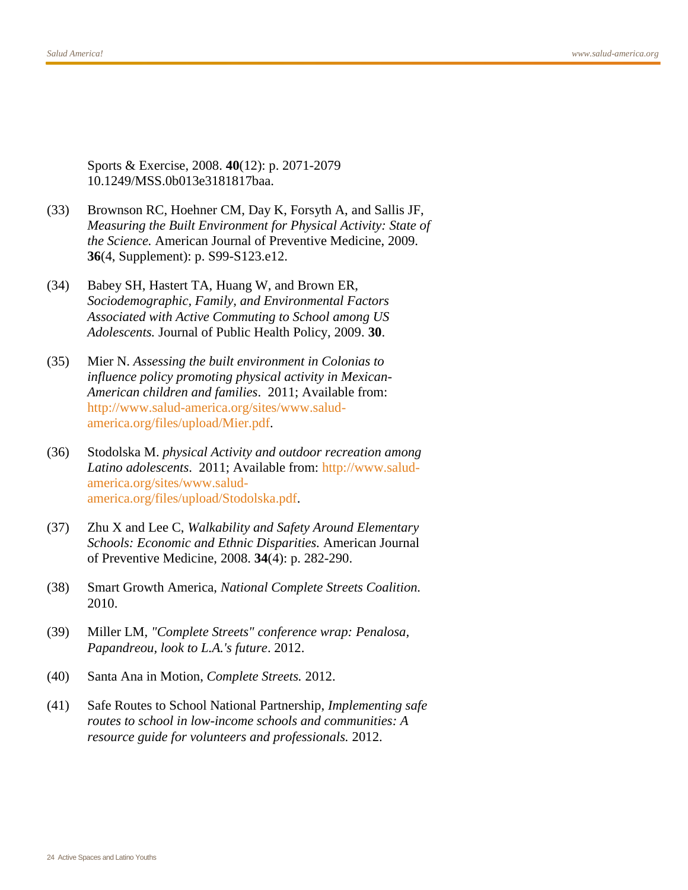Sports & Exercise, 2008. **40**(12): p. 2071-2079 10.1249/MSS.0b013e3181817baa.

- <span id="page-23-0"></span>(33) Brownson RC, Hoehner CM, Day K, Forsyth A, and Sallis JF, *Measuring the Built Environment for Physical Activity: State of the Science.* American Journal of Preventive Medicine, 2009. **36**(4, Supplement): p. S99-S123.e12.
- <span id="page-23-1"></span>(34) Babey SH, Hastert TA, Huang W, and Brown ER, *Sociodemographic, Family, and Environmental Factors Associated with Active Commuting to School among US Adolescents.* Journal of Public Health Policy, 2009. **30**.
- <span id="page-23-2"></span>(35) Mier N. *Assessing the built environment in Colonias to influence policy promoting physical activity in Mexican-American children and families*. 2011; Available from: [http://www.salud-america.org/sites/www.salud](http://www.salud-america.org/sites/www.salud-america.org/files/upload/Mier.pdf)[america.org/files/upload/Mier.pdf.](http://www.salud-america.org/sites/www.salud-america.org/files/upload/Mier.pdf)
- <span id="page-23-3"></span>(36) Stodolska M. *physical Activity and outdoor recreation among Latino adolescents*. 2011; Available from: [http://www.salud](http://www.salud-america.org/sites/www.salud-america.org/files/upload/Stodolska.pdf)[america.org/sites/www.salud](http://www.salud-america.org/sites/www.salud-america.org/files/upload/Stodolska.pdf)[america.org/files/upload/Stodolska.pdf.](http://www.salud-america.org/sites/www.salud-america.org/files/upload/Stodolska.pdf)
- <span id="page-23-4"></span>(37) Zhu X and Lee C, *Walkability and Safety Around Elementary Schools: Economic and Ethnic Disparities.* American Journal of Preventive Medicine, 2008. **34**(4): p. 282-290.
- <span id="page-23-5"></span>(38) Smart Growth America, *National Complete Streets Coalition.* 2010.
- <span id="page-23-6"></span>(39) Miller LM, *"Complete Streets" conference wrap: Penalosa, Papandreou, look to L.A.'s future*. 2012.
- <span id="page-23-7"></span>(40) Santa Ana in Motion, *Complete Streets.* 2012.
- <span id="page-23-8"></span>(41) Safe Routes to School National Partnership, *Implementing safe routes to school in low-income schools and communities: A resource guide for volunteers and professionals.* 2012.